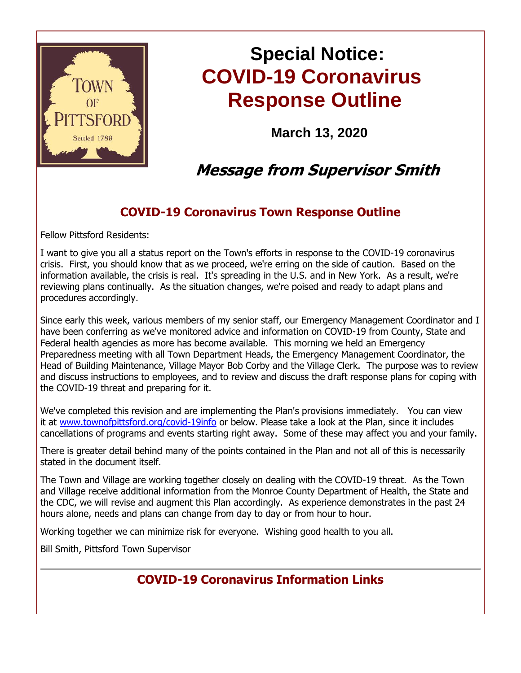

# **Special Notice: COVID-19 Coronavirus Response Outline**

**March 13, 2020**

## **Message from Supervisor Smith**

## **COVID-19 Coronavirus Town Response Outline**

Fellow Pittsford Residents:

I want to give you all a status report on the Town's efforts in response to the COVID-19 coronavirus crisis. First, you should know that as we proceed, we're erring on the side of caution. Based on the information available, the crisis is real. It's spreading in the U.S. and in New York. As a result, we're reviewing plans continually. As the situation changes, we're poised and ready to adapt plans and procedures accordingly.

Since early this week, various members of my senior staff, our Emergency Management Coordinator and I have been conferring as we've monitored advice and information on COVID-19 from County, State and Federal health agencies as more has become available. This morning we held an Emergency Preparedness meeting with all Town Department Heads, the Emergency Management Coordinator, the Head of Building Maintenance, Village Mayor Bob Corby and the Village Clerk. The purpose was to review and discuss instructions to employees, and to review and discuss the draft response plans for coping with the COVID-19 threat and preparing for it.

We've completed this revision and are implementing the Plan's provisions immediately. You can view it at [www.townofpittsford.org/covid-19info](http://r20.rs6.net/tn.jsp?f=001nf4l_1DyOcUIjwlekB0cV6oKtPCSN0xIddPy86uHZYwajhg0Vl4Yn3S4SaoG0coTx9_MPuZqas_wwBafmW8YDc7cnCntZSmPKnWRrZC034ZtUfeTWuGBVL1aB0ltXFDxtM5bartnwVuuzBZ2SA0IL--khgLNR1JD6-tM7VZab1fj5i3vUNjfAbh3TNDMHBjfXsUe1fW2GN13hgjGAFTuFuDzJ8w0LISbZpDHPxi3zktcZF26ScngS-RSmBnKV9mX3HeKqGuUzoQibdJCQdjM2SvgqeomGbNc4du693A2SfUDwFWGA655aGCFNYNYbIDsx6_VXKVSAa5D0RtMvAjNQTW4O0D0_KbWufXygUmrAL_4INHbtUBOxWxjsNikp1JHDMuJy0kEWYA=&c=jba-Q9mcAZ0-XtQM4RyRe1u_nemBjlkH7neSmE4M1fCm0lYwcfZdiQ==&ch=MVO1sy4KtOZLp1wBxE6vGgoUSbLvDke-gX7W1OcRdUkop5Hkw6ZK2A==) or below. Please take a look at the Plan, since it includes cancellations of programs and events starting right away. Some of these may affect you and your family.

There is greater detail behind many of the points contained in the Plan and not all of this is necessarily stated in the document itself.

The Town and Village are working together closely on dealing with the COVID-19 threat. As the Town and Village receive additional information from the Monroe County Department of Health, the State and the CDC, we will revise and augment this Plan accordingly. As experience demonstrates in the past 24 hours alone, needs and plans can change from day to day or from hour to hour.

Working together we can minimize risk for everyone. Wishing good health to you all.

Bill Smith, Pittsford Town Supervisor

## **COVID-19 Coronavirus Information Links**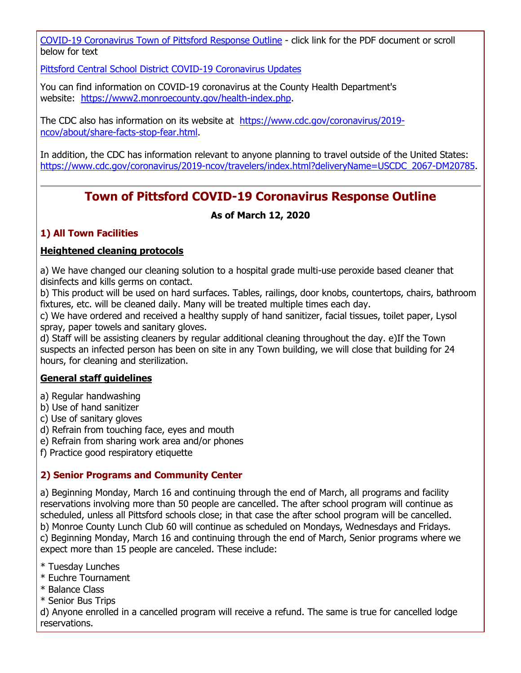[COVID-19 Coronavirus Town of Pittsford Response Outline](http://r20.rs6.net/tn.jsp?f=001nf4l_1DyOcUIjwlekB0cV6oKtPCSN0xIddPy86uHZYwajhg0Vl4Yn3S4SaoG0coTz3ID06UBETLcCIj29KKT9KpucMQskQCHElMWWyg71YszyTJAi5czpo63vvi49HIQShHkgARBnwamwEB03tr1rN_hmDvvH8NovOrQ1rpWXEgM3n2ZXHfyKQ4wLYgzCC-Pw87KErvyltjzG2Q-agxf74wmODeHuyAGnoGxkiMJMzoNd5Rfxy9sxJ6hNGozqnf8cZO9WF_MTseskQ31SsrS4Lhx2Hy5vn1wBmtQxcIIFvq3wZT8_6i2L9wQjamJ8FmZL2jWkUXqkGYlNu7tMJfV5RV8QQQzUio1Wm5DBPhBUJ_uL3uQlmLD3lCMS8H7Z3Zq8ifOnHrPfw4sPERPXRdZlrKysB8InzzAcJUexWXC-hu2KJKzWVJC6qsVkoqiiVpNMr8QQlAsQQph26K0TzYJ0A==&c=jba-Q9mcAZ0-XtQM4RyRe1u_nemBjlkH7neSmE4M1fCm0lYwcfZdiQ==&ch=MVO1sy4KtOZLp1wBxE6vGgoUSbLvDke-gX7W1OcRdUkop5Hkw6ZK2A==) - click link for the PDF document or scroll below for text

[Pittsford Central School District COVID-19 Coronavirus Updates](http://r20.rs6.net/tn.jsp?f=001nf4l_1DyOcUIjwlekB0cV6oKtPCSN0xIddPy86uHZYwajhg0Vl4Yn3S4SaoG0coTdap8GSlNohMyljuQ1HyQ78wE8iNHoHDd_PVsMv7X_ql9wyURcx6xph8SQ5x8SJCW85E1nd4iA4YOgLB1iV2DHiolM7ijHpRY-rR9c5yCbiml0JkTGhQknEUgIHIDcB5q9Dt69mPoPPPz0IfI7Z7stvsQiFEIkSkLMgZk3K3NDvr2mmQVaUuKXh9PUl-O-pQXKKnd-11HvFMtsWz0zI60nIOIuEWwf80NsPb7aviXTlVM5KmIptDD6-u1REBkJIzn8MzUZ6g-OZ-YAzSYrinWBcB9dV0iFhG9MWU2nJ6pIms9V2j24mcZUXtVr3nYSSzQjHRf90Ps2KY=&c=jba-Q9mcAZ0-XtQM4RyRe1u_nemBjlkH7neSmE4M1fCm0lYwcfZdiQ==&ch=MVO1sy4KtOZLp1wBxE6vGgoUSbLvDke-gX7W1OcRdUkop5Hkw6ZK2A==)

You can find information on COVID-19 coronavirus at the County Health Department's website: [https://www2.monroecounty.gov/health-index.php.](http://r20.rs6.net/tn.jsp?f=001nf4l_1DyOcUIjwlekB0cV6oKtPCSN0xIddPy86uHZYwajhg0Vl4Yn2Xv6B4YJ_jYW3TMfjgYdxVdv1DuZUC3YSQiBKY8QIVNCaOk_ffcj8JCPugUKDAkdmnYewb3H44A_pbW6jSxYbi8quTeV12yi1WvF6M-0WLIboyrmNi_vJVLT_CTd6uo7ABrXwskEDzpAgwAxxpx6D_7i0L11piuNEXZ1pEPpF3mWq1cjcDJ6nXxitoFlzK4gLWN2qWjGZOYtr9PFTfZnitjEe3UWa1_gdktOX0ZZFlAJsup-WvCWaCIMASOD6llJsqtHTOn130uIQ00X8MHGHyUvrlKj87NTpvvHgSD-UTWhTrc4tgXJNESHXD2RVIttBNxpQJ_OVfASnZsvOGgOqQ=&c=jba-Q9mcAZ0-XtQM4RyRe1u_nemBjlkH7neSmE4M1fCm0lYwcfZdiQ==&ch=MVO1sy4KtOZLp1wBxE6vGgoUSbLvDke-gX7W1OcRdUkop5Hkw6ZK2A==)

The CDC also has information on its website at [https://www.cdc.gov/coronavirus/2019](http://r20.rs6.net/tn.jsp?f=001nf4l_1DyOcUIjwlekB0cV6oKtPCSN0xIddPy86uHZYwajhg0Vl4Yn2Xv6B4YJ_jYm90JGHWbPKSIqAHeg707rYvazqDqSPtTOMwwh7wEIWLAyHXxsHUKcnOKeckpDRMaK51k5LyO0MtJnc3lQkYtfCEQwWcdY-UhQf5H7_3C0a-ooN1P-Lbm3L5Z6Tp6OS0KPeTcfIYRS9cmGJomZ0m3zNYU-gw6WgRPR0mxslXi5bWfZcMJ0_xYjD4HYab8Z9l2vEO4-TUZFN2UQ28KXhofbUpDI5-ovf52urNJ5lBWjqw7FUd61Rf_ILCTWJeyOQAbh4k2us-gkC-QXEyLNYghnIKC6WN9talHY3yaQUQR61BwkNfBppz4xUlADgq2xtX54-0coqqtOF-V_-jSkyaZrkBBboCemZMdxpEERQpGXqgKcnrUJsnZbJNJHBjr7Lhf&c=jba-Q9mcAZ0-XtQM4RyRe1u_nemBjlkH7neSmE4M1fCm0lYwcfZdiQ==&ch=MVO1sy4KtOZLp1wBxE6vGgoUSbLvDke-gX7W1OcRdUkop5Hkw6ZK2A==) [ncov/about/share-facts-stop-fear.html.](http://r20.rs6.net/tn.jsp?f=001nf4l_1DyOcUIjwlekB0cV6oKtPCSN0xIddPy86uHZYwajhg0Vl4Yn2Xv6B4YJ_jYm90JGHWbPKSIqAHeg707rYvazqDqSPtTOMwwh7wEIWLAyHXxsHUKcnOKeckpDRMaK51k5LyO0MtJnc3lQkYtfCEQwWcdY-UhQf5H7_3C0a-ooN1P-Lbm3L5Z6Tp6OS0KPeTcfIYRS9cmGJomZ0m3zNYU-gw6WgRPR0mxslXi5bWfZcMJ0_xYjD4HYab8Z9l2vEO4-TUZFN2UQ28KXhofbUpDI5-ovf52urNJ5lBWjqw7FUd61Rf_ILCTWJeyOQAbh4k2us-gkC-QXEyLNYghnIKC6WN9talHY3yaQUQR61BwkNfBppz4xUlADgq2xtX54-0coqqtOF-V_-jSkyaZrkBBboCemZMdxpEERQpGXqgKcnrUJsnZbJNJHBjr7Lhf&c=jba-Q9mcAZ0-XtQM4RyRe1u_nemBjlkH7neSmE4M1fCm0lYwcfZdiQ==&ch=MVO1sy4KtOZLp1wBxE6vGgoUSbLvDke-gX7W1OcRdUkop5Hkw6ZK2A==)

In addition, the CDC has information relevant to anyone planning to travel outside of the United States: [https://www.cdc.gov/coronavirus/2019-ncov/travelers/index.html?deliveryName=USCDC\\_2067-DM20785.](http://r20.rs6.net/tn.jsp?f=001nf4l_1DyOcUIjwlekB0cV6oKtPCSN0xIddPy86uHZYwajhg0Vl4Yn2Xv6B4YJ_jYFmrh8lySSnpgckRd_9xd6K9zFkSDyS1DPiHkZWSvbL2v2FMeDzGYCvEy8DKoqsa0Knp4wWTIrBorQZKgkadZU5EcehP5kyZfDN-jtsg89OeJwWNudjwa-5gAYaXSIZ4O2JOVSEZIGVa0lM_dbWhYuOyeI2qU_yFKZwc8NdaGRFTkffNvXWDoulLZUN8omqbGc8N6uBAllsxSvQZlvT2ji23Vg2sfANcvQXGX0EtoV6uKpfLKaiptvZnlWeEAEy9wfLV0qd7EGAXKGbgOmnNsmu4SO2FZMpvenWBaL3-Dgp-7Xgep0OL-499GE-O8tETmxBdhVMYPDkUxtFzJO_zIVjDNEuiadqyH2ezve-MPFYOH0Lf7OZHkWmbDPuq1C0L-2p_4pNkSznLp4enwJsTSSwP9wKmTyAXv&c=jba-Q9mcAZ0-XtQM4RyRe1u_nemBjlkH7neSmE4M1fCm0lYwcfZdiQ==&ch=MVO1sy4KtOZLp1wBxE6vGgoUSbLvDke-gX7W1OcRdUkop5Hkw6ZK2A==)

### **Town of Pittsford COVID-19 Coronavirus Response Outline**

#### **As of March 12, 2020**

#### **1) All Town Facilities**

#### **Heightened cleaning protocols**

a) We have changed our cleaning solution to a hospital grade multi-use peroxide based cleaner that disinfects and kills germs on contact.

b) This product will be used on hard surfaces. Tables, railings, door knobs, countertops, chairs, bathroom fixtures, etc. will be cleaned daily. Many will be treated multiple times each day.

c) We have ordered and received a healthy supply of hand sanitizer, facial tissues, toilet paper, Lysol spray, paper towels and sanitary gloves.

d) Staff will be assisting cleaners by regular additional cleaning throughout the day. e)If the Town suspects an infected person has been on site in any Town building, we will close that building for 24 hours, for cleaning and sterilization.

#### **General staff guidelines**

- a) Regular handwashing
- b) Use of hand sanitizer
- c) Use of sanitary gloves
- d) Refrain from touching face, eyes and mouth
- e) Refrain from sharing work area and/or phones
- f) Practice good respiratory etiquette

#### **2) Senior Programs and Community Center**

a) Beginning Monday, March 16 and continuing through the end of March, all programs and facility reservations involving more than 50 people are cancelled. The after school program will continue as scheduled, unless all Pittsford schools close; in that case the after school program will be cancelled. b) Monroe County Lunch Club 60 will continue as scheduled on Mondays, Wednesdays and Fridays. c) Beginning Monday, March 16 and continuing through the end of March, Senior programs where we expect more than 15 people are canceled. These include:

\* Tuesday Lunches

- \* Euchre Tournament
- \* Balance Class
- \* Senior Bus Trips

d) Anyone enrolled in a cancelled program will receive a refund. The same is true for cancelled lodge reservations.